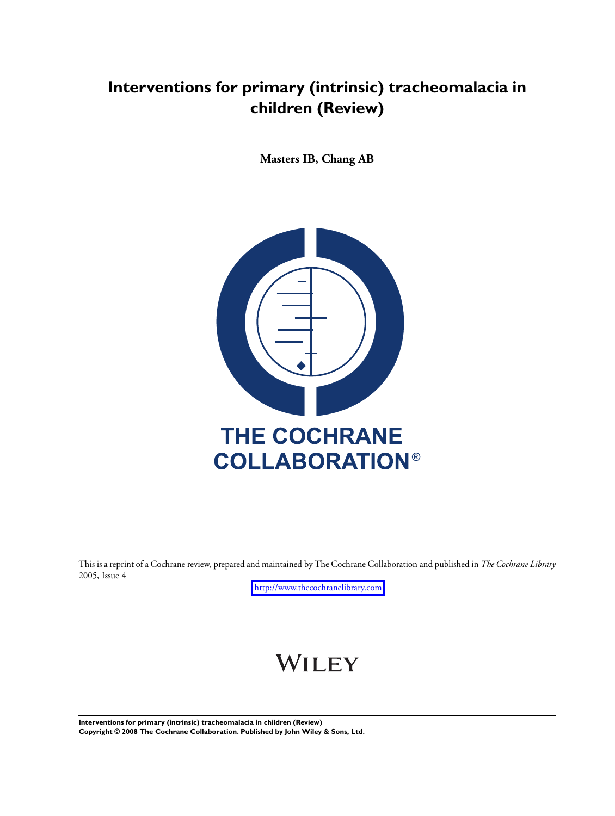## **Interventions for primary (intrinsic) tracheomalacia in children (Review)**

**Masters IB, Chang AB**



This is a reprint of a Cochrane review, prepared and maintained by The Cochrane Collaboration and published in *The Cochrane Library* 2005, Issue 4

<http://www.thecochranelibrary.com>

# WILEY

**Interventions for primary (intrinsic) tracheomalacia in children (Review) Copyright © 2008 The Cochrane Collaboration. Published by John Wiley & Sons, Ltd.**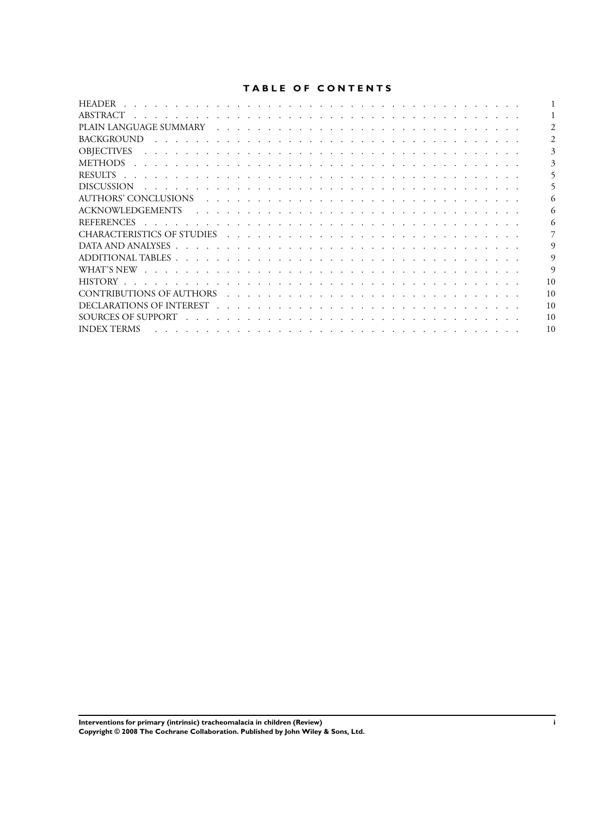## **TABLE OF CONTENTS**

| <b>HEADER</b>                                                                                                                                                                                                                                      |          |
|----------------------------------------------------------------------------------------------------------------------------------------------------------------------------------------------------------------------------------------------------|----------|
| ABSTRACT                                                                                                                                                                                                                                           |          |
|                                                                                                                                                                                                                                                    |          |
| <b>BACKGROUND</b>                                                                                                                                                                                                                                  |          |
| <b>OBIECTIVES</b>                                                                                                                                                                                                                                  |          |
| METHODS                                                                                                                                                                                                                                            |          |
| <b>RESULTS</b>                                                                                                                                                                                                                                     |          |
| <b>DISCUSSION</b><br>and a construction of the construction of the construction of the construction of the construction of the construction of the construction of the construction of the construction of the construction of the construction of |          |
| AUTHORS' CONCLUSIONS (and all alternative and all alternative and alternative and alternative and alternative and alternative and alternative and alternative and alternative and alternative and alternative and alternative                      |          |
|                                                                                                                                                                                                                                                    |          |
| <b>REFERENCES</b><br>a constitution of the constitution of the constitution of the constitution of the constitution of the constitution of the constitution of the constitution of the constitution of the constitution of the constitution of the |          |
|                                                                                                                                                                                                                                                    |          |
|                                                                                                                                                                                                                                                    |          |
|                                                                                                                                                                                                                                                    | 9        |
|                                                                                                                                                                                                                                                    | $\Omega$ |
| HISTORY<br>a constitution of the constitution of the constitution of the constitution of the constitution of the constitution of the constitution of the constitution of the constitution of the constitution of the constitution of the           | 10       |
|                                                                                                                                                                                                                                                    | 10       |
|                                                                                                                                                                                                                                                    | 10       |
|                                                                                                                                                                                                                                                    | 10       |
| <b>INDEX TERMS</b>                                                                                                                                                                                                                                 | 10       |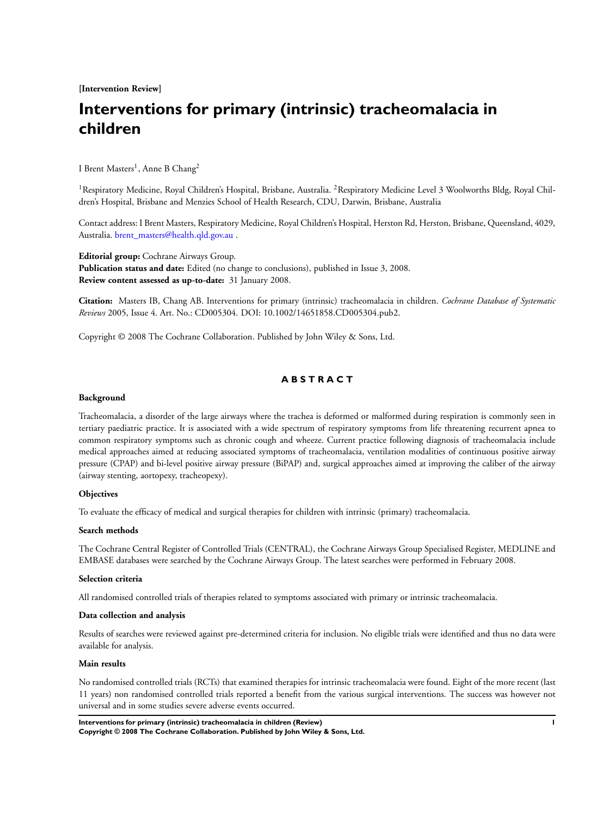**[Intervention Review]**

## **Interventions for primary (intrinsic) tracheomalacia in children**

I Brent Masters<sup>1</sup>, Anne B Chang<sup>2</sup>

<sup>1</sup> Respiratory Medicine, Royal Children's Hospital, Brisbane, Australia. <sup>2</sup> Respiratory Medicine Level 3 Woolworths Bldg, Royal Children's Hospital, Brisbane and Menzies School of Health Research, CDU, Darwin, Brisbane, Australia

Contact address: I Brent Masters, Respiratory Medicine, Royal Children's Hospital, Herston Rd, Herston, Brisbane, Queensland, 4029, Australia. [brent\\_masters@health.qld.gov.au](mailto:brentchar "A8penalty z@ masters@health.qld.gov.au ) .

**Editorial group:** Cochrane Airways Group. **Publication status and date:** Edited (no change to conclusions), published in Issue 3, 2008. **Review content assessed as up-to-date:** 31 January 2008.

**Citation:** Masters IB, Chang AB. Interventions for primary (intrinsic) tracheomalacia in children. *Cochrane Database of Systematic Reviews* 2005, Issue 4. Art. No.: CD005304. DOI: 10.1002/14651858.CD005304.pub2.

Copyright © 2008 The Cochrane Collaboration. Published by John Wiley & Sons, Ltd.

## **A B S T R A C T**

#### **Background**

Tracheomalacia, a disorder of the large airways where the trachea is deformed or malformed during respiration is commonly seen in tertiary paediatric practice. It is associated with a wide spectrum of respiratory symptoms from life threatening recurrent apnea to common respiratory symptoms such as chronic cough and wheeze. Current practice following diagnosis of tracheomalacia include medical approaches aimed at reducing associated symptoms of tracheomalacia, ventilation modalities of continuous positive airway pressure (CPAP) and bi-level positive airway pressure (BiPAP) and, surgical approaches aimed at improving the caliber of the airway (airway stenting, aortopexy, tracheopexy).

#### **Objectives**

To evaluate the efficacy of medical and surgical therapies for children with intrinsic (primary) tracheomalacia.

#### **Search methods**

The Cochrane Central Register of Controlled Trials (CENTRAL), the Cochrane Airways Group Specialised Register, MEDLINE and EMBASE databases were searched by the Cochrane Airways Group. The latest searches were performed in February 2008.

#### **Selection criteria**

All randomised controlled trials of therapies related to symptoms associated with primary or intrinsic tracheomalacia.

#### **Data collection and analysis**

Results of searches were reviewed against pre-determined criteria for inclusion. No eligible trials were identified and thus no data were available for analysis.

#### **Main results**

No randomised controlled trials (RCTs) that examined therapies for intrinsic tracheomalacia were found. Eight of the more recent (last 11 years) non randomised controlled trials reported a benefit from the various surgical interventions. The success was however not universal and in some studies severe adverse events occurred.

**Interventions for primary (intrinsic) tracheomalacia in children (Review) 1 Copyright © 2008 The Cochrane Collaboration. Published by John Wiley & Sons, Ltd.**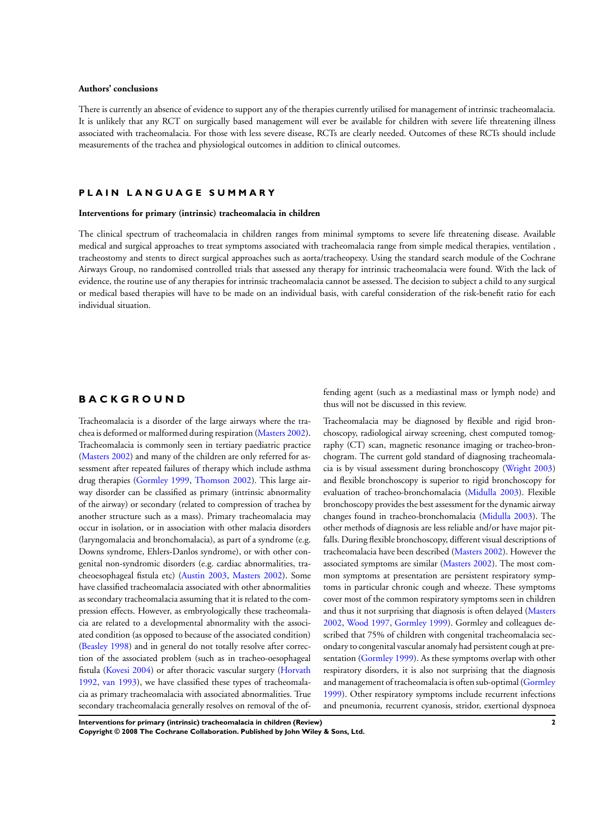#### **Authors' conclusions**

There is currently an absence of evidence to support any of the therapies currently utilised for management of intrinsic tracheomalacia. It is unlikely that any RCT on surgically based management will ever be available for children with severe life threatening illness associated with tracheomalacia. For those with less severe disease, RCTs are clearly needed. Outcomes of these RCTs should include measurements of the trachea and physiological outcomes in addition to clinical outcomes.

#### **P L A I N L A N G U A G E S U M M A R Y**

#### **Interventions for primary (intrinsic) tracheomalacia in children**

The clinical spectrum of tracheomalacia in children ranges from minimal symptoms to severe life threatening disease. Available medical and surgical approaches to treat symptoms associated with tracheomalacia range from simple medical therapies, ventilation , tracheostomy and stents to direct surgical approaches such as aorta/tracheopexy. Using the standard search module of the Cochrane Airways Group, no randomised controlled trials that assessed any therapy for intrinsic tracheomalacia were found. With the lack of evidence, the routine use of any therapies for intrinsic tracheomalacia cannot be assessed. The decision to subject a child to any surgical or medical based therapies will have to be made on an individual basis, with careful consideration of the risk-benefit ratio for each individual situation.

### **B A C K G R O U N D**

Tracheomalacia is a disorder of the large airways where the trachea is deformed or malformed during respiration ([Masters 2002](#page-7-0)). Tracheomalacia is commonly seen in tertiary paediatric practice [\(Masters 2002](#page-7-0)) and many of the children are only referred for assessment after repeated failures of therapy which include asthma drug therapies ([Gormley 1999,](#page-7-0) [Thomson 2002\)](#page-7-0). This large airway disorder can be classified as primary (intrinsic abnormality of the airway) or secondary (related to compression of trachea by another structure such as a mass). Primary tracheomalacia may occur in isolation, or in association with other malacia disorders (laryngomalacia and bronchomalacia), as part of a syndrome (e.g. Downs syndrome, Ehlers-Danlos syndrome), or with other congenital non-syndromic disorders (e.g. cardiac abnormalities, tracheoesophageal fistula etc) ([Austin 2003,](#page-7-0) [Masters 2002](#page-7-0)). Some have classified tracheomalacia associated with other abnormalities as secondary tracheomalacia assuming that it is related to the compression effects. However, as embryologically these tracheomalacia are related to a developmental abnormality with the associated condition (as opposed to because of the associated condition) [\(Beasley 1998\)](#page-7-0) and in general do not totally resolve after correction of the associated problem (such as in tracheo-oesophageal fistula ([Kovesi 2004](#page-7-0)) or after thoracic vascular surgery ([Horvath](#page-7-0) [1992](#page-7-0), [van 1993\)](#page-7-0), we have classified these types of tracheomalacia as primary tracheomalacia with associated abnormalities. True secondary tracheomalacia generally resolves on removal of the offending agent (such as a mediastinal mass or lymph node) and thus will not be discussed in this review.

Tracheomalacia may be diagnosed by flexible and rigid bronchoscopy, radiological airway screening, chest computed tomography (CT) scan, magnetic resonance imaging or tracheo-bronchogram. The current gold standard of diagnosing tracheomalacia is by visual assessment during bronchoscopy ([Wright 2003](#page-7-0)) and flexible bronchoscopy is superior to rigid bronchoscopy for evaluation of tracheo-bronchomalacia [\(Midulla 2003\)](#page-7-0). Flexible bronchoscopy provides the best assessment for the dynamic airway changes found in tracheo-bronchomalacia [\(Midulla 2003\)](#page-7-0). The other methods of diagnosis are less reliable and/or have major pitfalls. During flexible bronchoscopy, different visual descriptions of tracheomalacia have been described [\(Masters 2002\)](#page-7-0). However the associated symptoms are similar [\(Masters 2002\)](#page-7-0). The most common symptoms at presentation are persistent respiratory symptoms in particular chronic cough and wheeze. These symptoms cover most of the common respiratory symptoms seen in children and thus it not surprising that diagnosis is often delayed [\(Masters](#page-7-0) [2002](#page-7-0), [Wood 1997,](#page-7-0) [Gormley 1999\)](#page-7-0). Gormley and colleagues described that 75% of children with congenital tracheomalacia secondary to congenital vascular anomaly had persistent cough at presentation ([Gormley 1999\)](#page-7-0). As these symptoms overlap with other respiratory disorders, it is also not surprising that the diagnosis and management of tracheomalacia is often sub-optimal ([Gormley](#page-7-0) [1999](#page-7-0)). Other respiratory symptoms include recurrent infections and pneumonia, recurrent cyanosis, stridor, exertional dyspnoea

**Interventions for primary (intrinsic) tracheomalacia in children (Review) 2 Copyright © 2008 The Cochrane Collaboration. Published by John Wiley & Sons, Ltd.**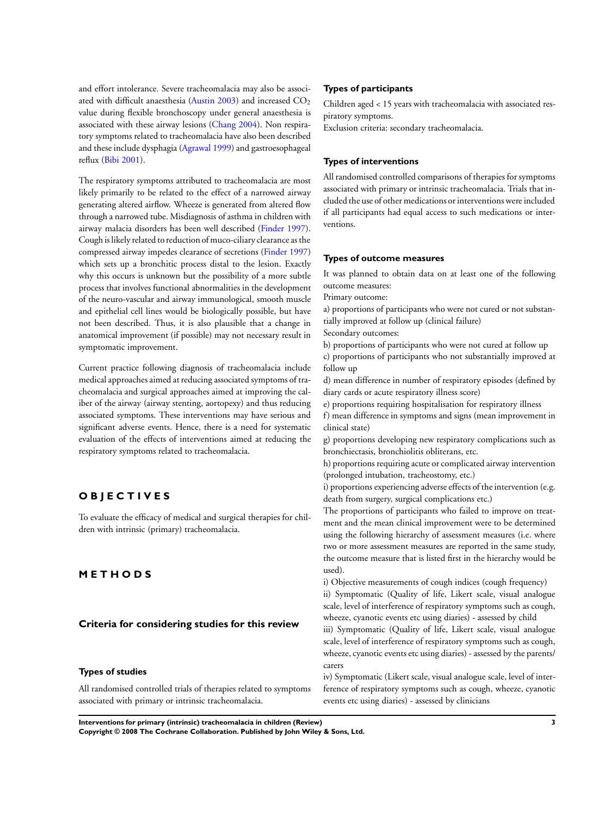and effort intolerance. Severe tracheomalacia may also be associ-ated with difficult anaesthesia [\(Austin 2003\)](#page-7-0) and increased  $CO<sub>2</sub>$ value during flexible bronchoscopy under general anaesthesia is associated with these airway lesions [\(Chang 2004](#page-7-0)). Non respiratory symptoms related to tracheomalacia have also been described and these include dysphagia [\(Agrawal 1999](#page-7-0)) and gastroesophageal reflux [\(Bibi 2001\)](#page-7-0).

The respiratory symptoms attributed to tracheomalacia are most likely primarily to be related to the effect of a narrowed airway generating altered airflow. Wheeze is generated from altered flow through a narrowed tube. Misdiagnosis of asthma in children with airway malacia disorders has been well described ([Finder 1997](#page-7-0)). Cough is likely related to reduction of muco-ciliary clearance as the compressed airway impedes clearance of secretions [\(Finder 1997](#page-7-0)) which sets up a bronchitic process distal to the lesion. Exactly why this occurs is unknown but the possibility of a more subtle process that involves functional abnormalities in the development of the neuro-vascular and airway immunological, smooth muscle and epithelial cell lines would be biologically possible, but have not been described. Thus, it is also plausible that a change in anatomical improvement (if possible) may not necessary result in symptomatic improvement.

Current practice following diagnosis of tracheomalacia include medical approaches aimed at reducing associated symptoms of tracheomalacia and surgical approaches aimed at improving the caliber of the airway (airway stenting, aortopexy) and thus reducing associated symptoms. These interventions may have serious and significant adverse events. Hence, there is a need for systematic evaluation of the effects of interventions aimed at reducing the respiratory symptoms related to tracheomalacia.

## **O B J E C T I V E S**

To evaluate the efficacy of medical and surgical therapies for children with intrinsic (primary) tracheomalacia.

## **M E T H O D S**

## **Criteria for considering studies for this review**

#### **Types of studies**

All randomised controlled trials of therapies related to symptoms associated with primary or intrinsic tracheomalacia.

#### **Types of participants**

Children aged < 15 years with tracheomalacia with associated respiratory symptoms.

Exclusion criteria: secondary tracheomalacia.

#### **Types of interventions**

All randomised controlled comparisons of therapies for symptoms associated with primary or intrinsic tracheomalacia. Trials that included the use of other medications or interventions were included if all participants had equal access to such medications or interventions.

## **Types of outcome measures**

It was planned to obtain data on at least one of the following outcome measures:

Primary outcome:

a) proportions of participants who were not cured or not substantially improved at follow up (clinical failure)

Secondary outcomes:

b) proportions of participants who were not cured at follow up

c) proportions of participants who not substantially improved at follow up

d) mean difference in number of respiratory episodes (defined by diary cards or acute respiratory illness score)

e) proportions requiring hospitalisation for respiratory illness

f) mean difference in symptoms and signs (mean improvement in clinical state)

g) proportions developing new respiratory complications such as bronchiectasis, bronchiolitis obliterans, etc.

h) proportions requiring acute or complicated airway intervention (prolonged intubation, tracheostomy, etc.)

i) proportions experiencing adverse effects of the intervention (e.g. death from surgery, surgical complications etc.)

The proportions of participants who failed to improve on treatment and the mean clinical improvement were to be determined using the following hierarchy of assessment measures (i.e. where two or more assessment measures are reported in the same study, the outcome measure that is listed first in the hierarchy would be used).

i) Objective measurements of cough indices (cough frequency) ii) Symptomatic (Quality of life, Likert scale, visual analogue scale, level of interference of respiratory symptoms such as cough, wheeze, cyanotic events etc using diaries) - assessed by child

iii) Symptomatic (Quality of life, Likert scale, visual analogue scale, level of interference of respiratory symptoms such as cough, wheeze, cyanotic events etc using diaries) - assessed by the parents/ carers

iv) Symptomatic (Likert scale, visual analogue scale, level of interference of respiratory symptoms such as cough, wheeze, cyanotic events etc using diaries) - assessed by clinicians

**Interventions for primary (intrinsic) tracheomalacia in children (Review) 3**

**Copyright © 2008 The Cochrane Collaboration. Published by John Wiley & Sons, Ltd.**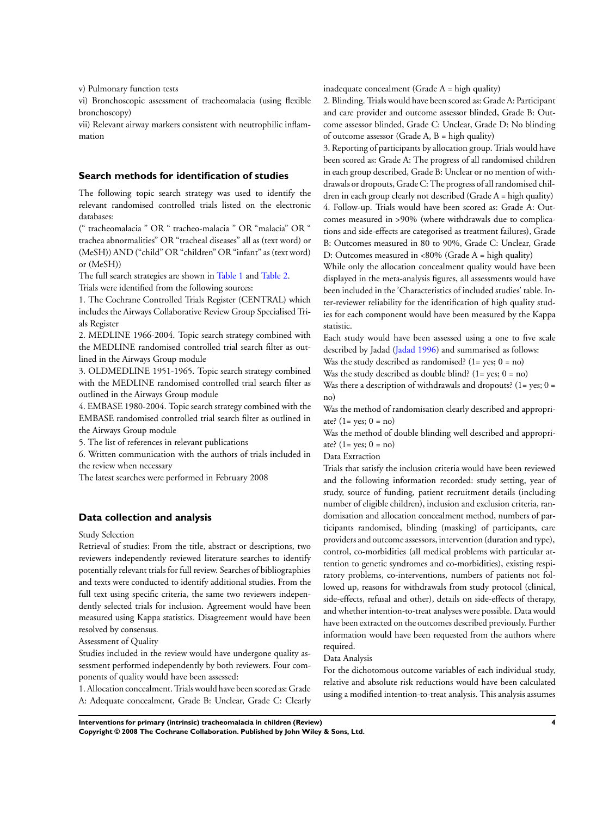v) Pulmonary function tests

vi) Bronchoscopic assessment of tracheomalacia (using flexible bronchoscopy)

vii) Relevant airway markers consistent with neutrophilic inflammation

#### **Search methods for identification of studies**

The following topic search strategy was used to identify the relevant randomised controlled trials listed on the electronic databases:

(" tracheomalacia " OR " tracheo-malacia " OR "malacia" OR " trachea abnormalities" OR "tracheal diseases" all as (text word) or (MeSH)) AND ("child" OR "children" OR "infant" as (text word) or (MeSH))

The full search strategies are shown in [Table 1](#page-10-0) and [Table 2.](#page-10-0) Trials were identified from the following sources:

1. The Cochrane Controlled Trials Register (CENTRAL) which includes the Airways Collaborative Review Group Specialised Trials Register

2. MEDLINE 1966-2004. Topic search strategy combined with the MEDLINE randomised controlled trial search filter as outlined in the Airways Group module

3. OLDMEDLINE 1951-1965. Topic search strategy combined with the MEDLINE randomised controlled trial search filter as outlined in the Airways Group module

4. EMBASE 1980-2004. Topic search strategy combined with the EMBASE randomised controlled trial search filter as outlined in the Airways Group module

5. The list of references in relevant publications

6. Written communication with the authors of trials included in the review when necessary

The latest searches were performed in February 2008

## **Data collection and analysis**

Study Selection

Retrieval of studies: From the title, abstract or descriptions, two reviewers independently reviewed literature searches to identify potentially relevant trials for full review. Searches of bibliographies and texts were conducted to identify additional studies. From the full text using specific criteria, the same two reviewers independently selected trials for inclusion. Agreement would have been measured using Kappa statistics. Disagreement would have been resolved by consensus.

Assessment of Quality

Studies included in the review would have undergone quality assessment performed independently by both reviewers. Four components of quality would have been assessed:

1. Allocation concealment. Trials would have been scored as: Grade A: Adequate concealment, Grade B: Unclear, Grade C: Clearly inadequate concealment (Grade A = high quality)

2. Blinding. Trials would have been scored as: Grade A: Participant and care provider and outcome assessor blinded, Grade B: Outcome assessor blinded, Grade C: Unclear, Grade D: No blinding of outcome assessor (Grade A,  $B = high$  quality)

3. Reporting of participants by allocation group. Trials would have been scored as: Grade A: The progress of all randomised children in each group described, Grade B: Unclear or no mention of withdrawals or dropouts, Grade C: The progress of all randomised children in each group clearly not described (Grade A = high quality) 4. Follow-up. Trials would have been scored as: Grade A: Outcomes measured in >90% (where withdrawals due to complications and side-effects are categorised as treatment failures), Grade B: Outcomes measured in 80 to 90%, Grade C: Unclear, Grade D: Outcomes measured in <80% (Grade A = high quality)

While only the allocation concealment quality would have been displayed in the meta-analysis figures, all assessments would have been included in the 'Characteristics of included studies' table. Inter-reviewer reliability for the identification of high quality studies for each component would have been measured by the Kappa statistic.

Each study would have been assessed using a one to five scale described by Jadad [\(Jadad 1996\)](#page-7-0) and summarised as follows:

Was the study described as randomised?  $(1 = yes; 0 = no)$ 

Was the study described as double blind?  $(1 = yes; 0 = no)$ 

Was there a description of withdrawals and dropouts?  $(1 = yes; 0 =$ no)

Was the method of randomisation clearly described and appropriate?  $(1 = \text{ves}; 0 = \text{no})$ 

Was the method of double blinding well described and appropriate?  $(1 = yes; 0 = no)$ 

Data Extraction

Trials that satisfy the inclusion criteria would have been reviewed and the following information recorded: study setting, year of study, source of funding, patient recruitment details (including number of eligible children), inclusion and exclusion criteria, randomisation and allocation concealment method, numbers of participants randomised, blinding (masking) of participants, care providers and outcome assessors, intervention (duration and type), control, co-morbidities (all medical problems with particular attention to genetic syndromes and co-morbidities), existing respiratory problems, co-interventions, numbers of patients not followed up, reasons for withdrawals from study protocol (clinical, side-effects, refusal and other), details on side-effects of therapy, and whether intention-to-treat analyses were possible. Data would have been extracted on the outcomes described previously. Further information would have been requested from the authors where required.

Data Analysis

For the dichotomous outcome variables of each individual study, relative and absolute risk reductions would have been calculated using a modified intention-to-treat analysis. This analysis assumes

**Interventions for primary (intrinsic) tracheomalacia in children (Review) 4 Copyright © 2008 The Cochrane Collaboration. Published by John Wiley & Sons, Ltd.**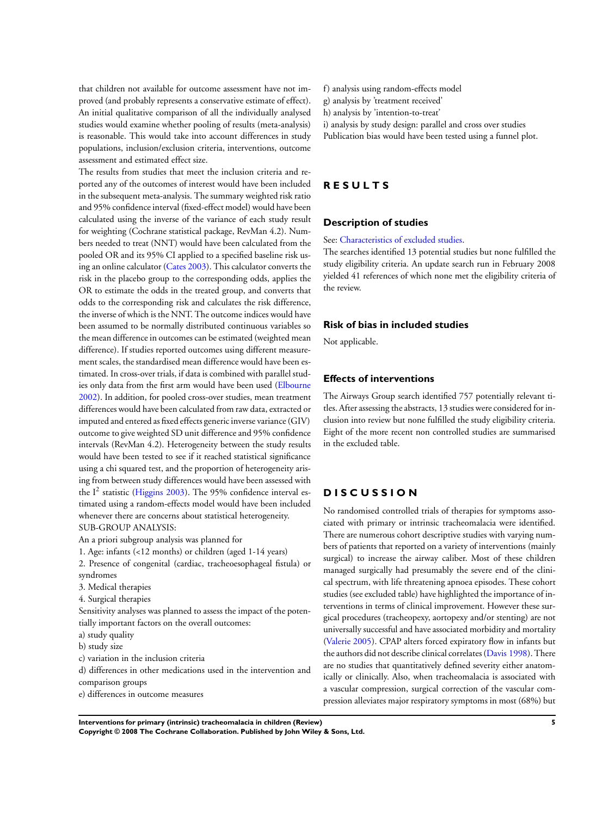that children not available for outcome assessment have not improved (and probably represents a conservative estimate of effect). An initial qualitative comparison of all the individually analysed studies would examine whether pooling of results (meta-analysis) is reasonable. This would take into account differences in study populations, inclusion/exclusion criteria, interventions, outcome assessment and estimated effect size.

The results from studies that meet the inclusion criteria and reported any of the outcomes of interest would have been included in the subsequent meta-analysis. The summary weighted risk ratio and 95% confidence interval (fixed-effect model) would have been calculated using the inverse of the variance of each study result for weighting (Cochrane statistical package, RevMan 4.2). Numbers needed to treat (NNT) would have been calculated from the pooled OR and its 95% CI applied to a specified baseline risk using an online calculator [\(Cates 2003\)](#page-7-0). This calculator converts the risk in the placebo group to the corresponding odds, applies the OR to estimate the odds in the treated group, and converts that odds to the corresponding risk and calculates the risk difference, the inverse of which is the NNT. The outcome indices would have been assumed to be normally distributed continuous variables so the mean difference in outcomes can be estimated (weighted mean difference). If studies reported outcomes using different measurement scales, the standardised mean difference would have been estimated. In cross-over trials, if data is combined with parallel studies only data from the first arm would have been used [\(Elbourne](#page-7-0) [2002](#page-7-0)). In addition, for pooled cross-over studies, mean treatment differences would have been calculated from raw data, extracted or imputed and entered as fixed effects generic inverse variance (GIV) outcome to give weighted SD unit difference and 95% confidence intervals (RevMan 4.2). Heterogeneity between the study results would have been tested to see if it reached statistical significance using a chi squared test, and the proportion of heterogeneity arising from between study differences would have been assessed with the  $I^2$  statistic ([Higgins 2003\)](#page-7-0). The 95% confidence interval estimated using a random-effects model would have been included whenever there are concerns about statistical heterogeneity. SUB-GROUP ANALYSIS:

An a priori subgroup analysis was planned for

1. Age: infants (<12 months) or children (aged 1-14 years)

- 2. Presence of congenital (cardiac, tracheoesophageal fistula) or syndromes
- 3. Medical therapies
- 4. Surgical therapies

Sensitivity analyses was planned to assess the impact of the potentially important factors on the overall outcomes:

a) study quality

- b) study size
- c) variation in the inclusion criteria
- d) differences in other medications used in the intervention and comparison groups
- e) differences in outcome measures
- f) analysis using random-effects model
- g) analysis by 'treatment received'
- h) analysis by 'intention-to-treat'
- i) analysis by study design: parallel and cross over studies
- Publication bias would have been tested using a funnel plot.

## **R E S U L T S**

#### **Description of studies**

#### See: [Characteristics of excluded studies.](#page-9-0)

The searches identified 13 potential studies but none fulfilled the study eligibility criteria. An update search run in February 2008 yielded 41 references of which none met the eligibility criteria of the review.

#### **Risk of bias in included studies**

Not applicable.

## **Effects of interventions**

The Airways Group search identified 757 potentially relevant titles. After assessing the abstracts, 13 studies were considered for inclusion into review but none fulfilled the study eligibility criteria. Eight of the more recent non controlled studies are summarised in the excluded table.

## **D I S C U S S I O N**

No randomised controlled trials of therapies for symptoms associated with primary or intrinsic tracheomalacia were identified. There are numerous cohort descriptive studies with varying numbers of patients that reported on a variety of interventions (mainly surgical) to increase the airway caliber. Most of these children managed surgically had presumably the severe end of the clinical spectrum, with life threatening apnoea episodes. These cohort studies (see excluded table) have highlighted the importance of interventions in terms of clinical improvement. However these surgical procedures (tracheopexy, aortopexy and/or stenting) are not universally successful and have associated morbidity and mortality [\(Valerie 2005](#page-7-0)). CPAP alters forced expiratory flow in infants but the authors did not describe clinical correlates [\(Davis 1998\)](#page-7-0). There are no studies that quantitatively defined severity either anatomically or clinically. Also, when tracheomalacia is associated with a vascular compression, surgical correction of the vascular compression alleviates major respiratory symptoms in most (68%) but

**Interventions for primary (intrinsic) tracheomalacia in children (Review) 5**

**Copyright © 2008 The Cochrane Collaboration. Published by John Wiley & Sons, Ltd.**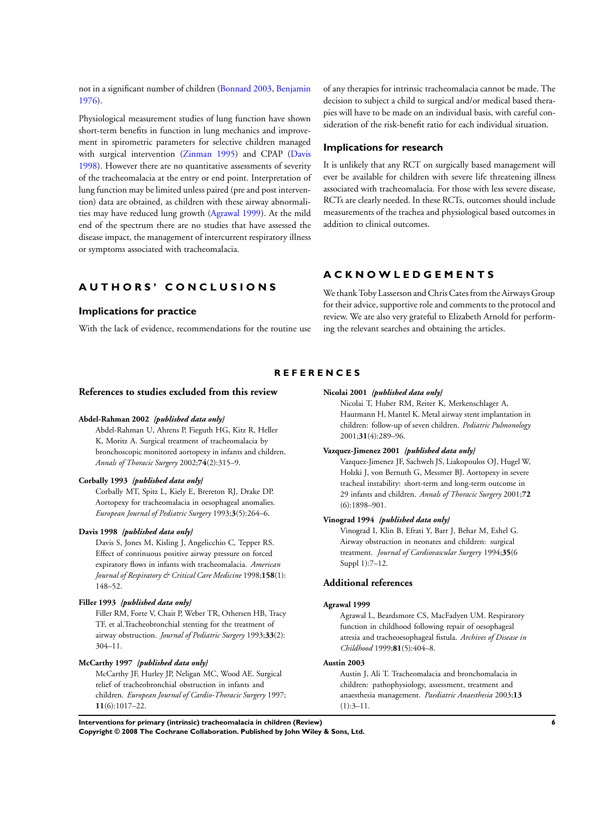<span id="page-7-0"></span>not in a significant number of children (Bonnard 2003, Benjamin 1976).

Physiological measurement studies of lung function have shown short-term benefits in function in lung mechanics and improvement in spirometric parameters for selective children managed with surgical intervention (Zinman 1995) and CPAP (Davis 1998). However there are no quantitative assessments of severity of the tracheomalacia at the entry or end point. Interpretation of lung function may be limited unless paired (pre and post intervention) data are obtained, as children with these airway abnormalities may have reduced lung growth (Agrawal 1999). At the mild end of the spectrum there are no studies that have assessed the disease impact, the management of intercurrent respiratory illness or symptoms associated with tracheomalacia.

## **A U T H O R S ' C O N C L U S I O N S**

#### **Implications for practice**

With the lack of evidence, recommendations for the routine use

of any therapies for intrinsic tracheomalacia cannot be made. The decision to subject a child to surgical and/or medical based therapies will have to be made on an individual basis, with careful consideration of the risk-benefit ratio for each individual situation.

#### **Implications for research**

It is unlikely that any RCT on surgically based management will ever be available for children with severe life threatening illness associated with tracheomalacia. For those with less severe disease, RCTs are clearly needed. In these RCTs, outcomes should include measurements of the trachea and physiological based outcomes in addition to clinical outcomes.

## **A C K N O W L E D G E M E N T S**

We thank Toby Lasserson and Chris Cates from the Airways Group for their advice, supportive role and comments to the protocol and review. We are also very grateful to Elizabeth Arnold for performing the relevant searches and obtaining the articles.

#### **R E F E R E N C E S**

#### **References to studies excluded from this review**

#### **Abdel-Rahman 2002** *{published data only}*

Abdel-Rahman U, Ahrens P, Fieguth HG, Kitz R, Heller K, Moritz A. Surgical treatment of tracheomalacia by bronchoscopic monitored aortopexy in infants and children. *Annals of Thoracic Surgery* 2002;**74**(2):315–9.

#### **Corbally 1993** *{published data only}*

Corbally MT, Spitz L, Kiely E, Brereton RJ, Drake DP. Aortopexy for tracheomalacia in oesophageal anomalies. *European Journal of Pediatric Surgery* 1993;**3**(5):264–6.

#### **Davis 1998** *{published data only}*

Davis S, Jones M, Kisling J, Angelicchio C, Tepper RS. Effect of continuous positive airway pressure on forced expiratory flows in infants with tracheomalacia. *American Journal of Respiratory & Critical Care Medicine* 1998;**158**(1): 148–52.

#### **Filler 1993** *{published data only}*

Filler RM, Forte V, Chait P, Weber TR, Othersen HB, Tracy TF, et al.Tracheobronchial stenting for the treatment of airway obstruction. *Journal of Pediatric Surgery* 1993;**33**(2): 304–11.

#### **McCarthy 1997** *{published data only}*

McCarthy JF, Hurley JP, Neligan MC, Wood AE. Surgical relief of tracheobronchial obstruction in infants and children. *European Journal of Cardio-Thoracic Surgery* 1997; **11**(6):1017–22.

## **Nicolai 2001** *{published data only}*

Nicolai T, Huber RM, Reiter K, Merkenschlager A, Hautmann H, Mantel K. Metal airway stent implantation in children: follow-up of seven children. *Pediatric Pulmonology* 2001;**31**(4):289–96.

#### **Vazquez-Jimenez 2001** *{published data only}*

Vazquez-Jimenez JF, Sachweh JS, Liakopoulos OJ, Hugel W, Holzki J, von Bernuth G, Messmer BJ. Aortopexy in severe tracheal instability: short-term and long-term outcome in 29 infants and children. *Annals of Thoracic Surgery* 2001;**72** (6):1898–901.

#### **Vinograd 1994** *{published data only}*

Vinograd I, Klin B, Efrati Y, Barr J, Behar M, Eshel G. Airway obstruction in neonates and children: surgical treatment. *Journal of Cardiovascular Surgery* 1994;**35**(6 Suppl 1):7–12.

#### **Additional references**

#### **Agrawal 1999**

Agrawal L, Beardsmore CS, MacFadyen UM. Respiratory function in childhood following repair of oesophageal atresia and tracheoesophageal fistula. *Archives of Disease in Childhood* 1999;**81**(5):404–8.

#### **Austin 2003**

Austin J, Ali T. Tracheomalacia and bronchomalacia in children: pathophysiology, assessment, treatment and anaesthesia management. *Paediatric Anaesthesia* 2003;**13**  $(1):3-11.$ 

**Interventions for primary (intrinsic) tracheomalacia in children (Review) 6**

**Copyright © 2008 The Cochrane Collaboration. Published by John Wiley & Sons, Ltd.**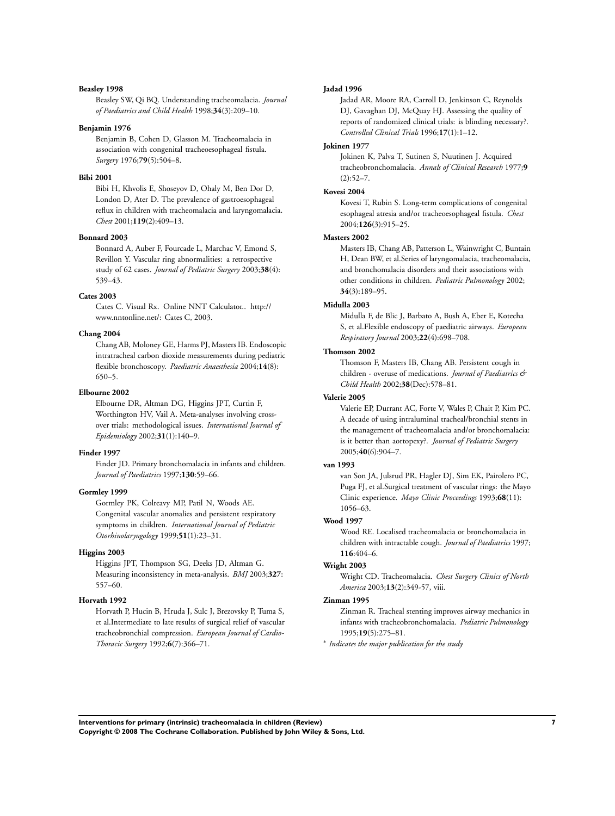#### **Beasley 1998**

Beasley SW, Qi BQ. Understanding tracheomalacia. *Journal of Paediatrics and Child Health* 1998;**34**(3):209–10.

#### **Benjamin 1976**

Benjamin B, Cohen D, Glasson M. Tracheomalacia in association with congenital tracheoesophageal fistula. *Surgery* 1976;**79**(5):504–8.

#### **Bibi 2001**

Bibi H, Khvolis E, Shoseyov D, Ohaly M, Ben Dor D, London D, Ater D. The prevalence of gastroesophageal reflux in children with tracheomalacia and laryngomalacia. *Chest* 2001;**119**(2):409–13.

#### **Bonnard 2003**

Bonnard A, Auber F, Fourcade L, Marchac V, Emond S, Revillon Y. Vascular ring abnormalities: a retrospective study of 62 cases. *Journal of Pediatric Surgery* 2003;**38**(4): 539–43.

#### **Cates 2003**

Cates C. Visual Rx. Online NNT Calculator.. http:// www.nntonline.net/: Cates C, 2003.

#### **Chang 2004**

Chang AB, Moloney GE, Harms PJ, Masters IB. Endoscopic intratracheal carbon dioxide measurements during pediatric flexible bronchoscopy. *Paediatric Anaesthesia* 2004;**14**(8): 650–5.

#### **Elbourne 2002**

Elbourne DR, Altman DG, Higgins JPT, Curtin F, Worthington HV, Vail A. Meta-analyses involving crossover trials: methodological issues. *International Journal of Epidemiology* 2002;**31**(1):140–9.

#### **Finder 1997**

Finder JD. Primary bronchomalacia in infants and children. *Journal of Paediatrics* 1997;**130**:59–66.

#### **Gormley 1999**

Gormley PK, Colreavy MP, Patil N, Woods AE. Congenital vascular anomalies and persistent respiratory symptoms in children. *International Journal of Pediatric Otorhinolaryngology* 1999;**51**(1):23–31.

#### **Higgins 2003**

Higgins JPT, Thompson SG, Deeks JD, Altman G. Measuring inconsistency in meta-analysis. *BMJ* 2003;**327**: 557–60.

#### **Horvath 1992**

Horvath P, Hucin B, Hruda J, Sulc J, Brezovsky P, Tuma S, et al.Intermediate to late results of surgical relief of vascular tracheobronchial compression. *European Journal of Cardio-Thoracic Surgery* 1992;**6**(7):366–71.

#### **Jadad 1996**

Jadad AR, Moore RA, Carroll D, Jenkinson C, Reynolds DJ, Gavaghan DJ, McQuay HJ. Assessing the quality of reports of randomized clinical trials: is blinding necessary?. *Controlled Clinical Trials* 1996;**17**(1):1–12.

#### **Jokinen 1977**

Jokinen K, Palva T, Sutinen S, Nuutinen J. Acquired tracheobronchomalacia. *Annals of Clinical Research* 1977;**9**  $(2):52-7.$ 

### **Kovesi 2004**

Kovesi T, Rubin S. Long-term complications of congenital esophageal atresia and/or tracheoesophageal fistula. *Chest* 2004;**126**(3):915–25.

#### **Masters 2002**

Masters IB, Chang AB, Patterson L, Wainwright C, Buntain H, Dean BW, et al.Series of laryngomalacia, tracheomalacia, and bronchomalacia disorders and their associations with other conditions in children. *Pediatric Pulmonology* 2002; **34**(3):189–95.

#### **Midulla 2003**

Midulla F, de Blic J, Barbato A, Bush A, Eber E, Kotecha S, et al.Flexible endoscopy of paediatric airways. *European Respiratory Journal* 2003;**22**(4):698–708.

#### **Thomson 2002**

Thomson F, Masters IB, Chang AB. Persistent cough in children - overuse of medications. *Journal of Paediatrics & Child Health* 2002;**38**(Dec):578–81.

#### **Valerie 2005**

Valerie EP, Durrant AC, Forte V, Wales P, Chait P, Kim PC. A decade of using intraluminal tracheal/bronchial stents in the management of tracheomalacia and/or bronchomalacia: is it better than aortopexy?. *Journal of Pediatric Surgery* 2005;**40**(6):904–7.

#### **van 1993**

van Son JA, Julsrud PR, Hagler DJ, Sim EK, Pairolero PC, Puga FJ, et al.Surgical treatment of vascular rings: the Mayo Clinic experience. *Mayo Clinic Proceedings* 1993;**68**(11): 1056–63.

#### **Wood 1997**

Wood RE. Localised tracheomalacia or bronchomalacia in children with intractable cough. *Journal of Paediatrics* 1997; **116**:404–6.

#### **Wright 2003**

Wright CD. Tracheomalacia. *Chest Surgery Clinics of North America* 2003;**13**(2):349-57, viii.

#### **Zinman 1995**

Zinman R. Tracheal stenting improves airway mechanics in infants with tracheobronchomalacia. *Pediatric Pulmonology* 1995;**19**(5):275–81.

∗ *Indicates the major publication for the study*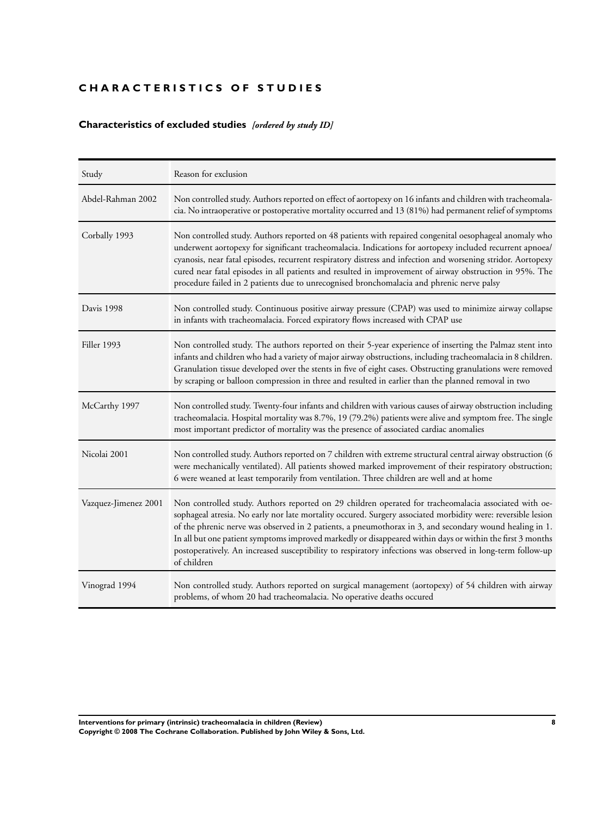## <span id="page-9-0"></span>**CHARACTERISTICS OF STUDIES**

## **Characteristics of excluded studies** *[ordered by study ID]*

| Study                | Reason for exclusion                                                                                                                                                                                                                                                                                                                                                                                                                                                                                                                                                       |  |  |
|----------------------|----------------------------------------------------------------------------------------------------------------------------------------------------------------------------------------------------------------------------------------------------------------------------------------------------------------------------------------------------------------------------------------------------------------------------------------------------------------------------------------------------------------------------------------------------------------------------|--|--|
| Abdel-Rahman 2002    | Non controlled study. Authors reported on effect of aortopexy on 16 infants and children with tracheomala-<br>cia. No intraoperative or postoperative mortality occurred and 13 (81%) had permanent relief of symptoms                                                                                                                                                                                                                                                                                                                                                     |  |  |
| Corbally 1993        | Non controlled study. Authors reported on 48 patients with repaired congenital oesophageal anomaly who<br>underwent aortopexy for significant tracheomalacia. Indications for aortopexy included recurrent apnoea/<br>cyanosis, near fatal episodes, recurrent respiratory distress and infection and worsening stridor. Aortopexy<br>cured near fatal episodes in all patients and resulted in improvement of airway obstruction in 95%. The<br>procedure failed in 2 patients due to unrecognised bronchomalacia and phrenic nerve palsy                                 |  |  |
| Davis 1998           | Non controlled study. Continuous positive airway pressure (CPAP) was used to minimize airway collapse<br>in infants with tracheomalacia. Forced expiratory flows increased with CPAP use                                                                                                                                                                                                                                                                                                                                                                                   |  |  |
| Filler 1993          | Non controlled study. The authors reported on their 5-year experience of inserting the Palmaz stent into<br>infants and children who had a variety of major airway obstructions, including tracheomalacia in 8 children.<br>Granulation tissue developed over the stents in five of eight cases. Obstructing granulations were removed<br>by scraping or balloon compression in three and resulted in earlier than the planned removal in two                                                                                                                              |  |  |
| McCarthy 1997        | Non controlled study. Twenty-four infants and children with various causes of airway obstruction including<br>tracheomalacia. Hospital mortality was 8.7%, 19 (79.2%) patients were alive and symptom free. The single<br>most important predictor of mortality was the presence of associated cardiac anomalies                                                                                                                                                                                                                                                           |  |  |
| Nicolai 2001         | Non controlled study. Authors reported on 7 children with extreme structural central airway obstruction (6<br>were mechanically ventilated). All patients showed marked improvement of their respiratory obstruction;<br>6 were weaned at least temporarily from ventilation. Three children are well and at home                                                                                                                                                                                                                                                          |  |  |
| Vazquez-Jimenez 2001 | Non controlled study. Authors reported on 29 children operated for tracheomalacia associated with oe-<br>sophageal atresia. No early nor late mortality occured. Surgery associated morbidity were: reversible lesion<br>of the phrenic nerve was observed in 2 patients, a pneumothorax in 3, and secondary wound healing in 1.<br>In all but one patient symptoms improved markedly or disappeared within days or within the first 3 months<br>postoperatively. An increased susceptibility to respiratory infections was observed in long-term follow-up<br>of children |  |  |
| Vinograd 1994        | Non controlled study. Authors reported on surgical management (aortopexy) of 54 children with airway<br>problems, of whom 20 had tracheomalacia. No operative deaths occured                                                                                                                                                                                                                                                                                                                                                                                               |  |  |

**Interventions for primary (intrinsic) tracheomalacia in children (Review) 8 Copyright © 2008 The Cochrane Collaboration. Published by John Wiley & Sons, Ltd.**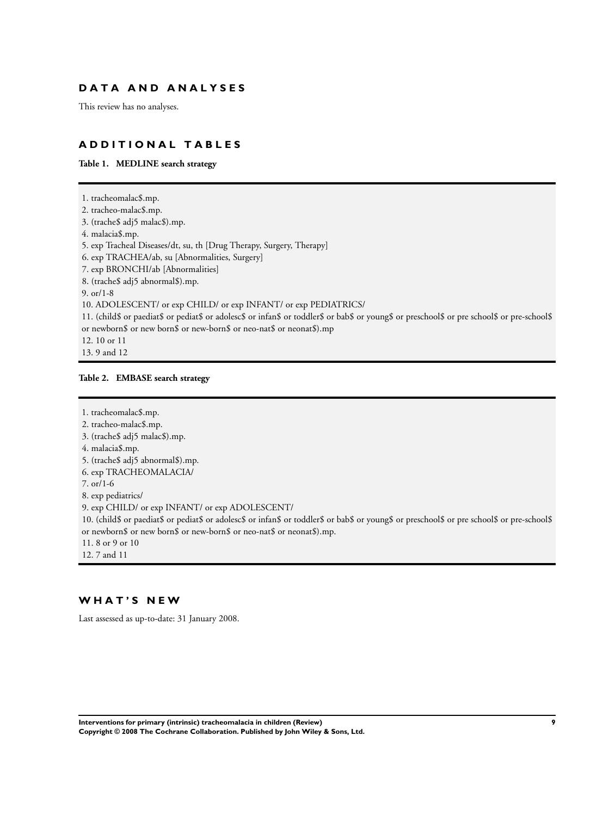## <span id="page-10-0"></span>**D A T A A N D A N A L Y S E S**

This review has no analyses.

## **A D D I T I O N A L T A B L E S**

**Table 1. MEDLINE search strategy**

1. tracheomalac\$.mp. 2. tracheo-malac\$.mp. 3. (trache\$ adj5 malac\$).mp. 4. malacia\$.mp. 5. exp Tracheal Diseases/dt, su, th [Drug Therapy, Surgery, Therapy] 6. exp TRACHEA/ab, su [Abnormalities, Surgery] 7. exp BRONCHI/ab [Abnormalities] 8. (trache\$ adj5 abnormal\$).mp. 9. or/1-8 10. ADOLESCENT/ or exp CHILD/ or exp INFANT/ or exp PEDIATRICS/ 11. (child\$ or paediat\$ or pediat\$ or adolesc\$ or infan\$ or toddler\$ or bab\$ or young\$ or preschool\$ or pre school\$ or pre-school\$ or newborn\$ or new born\$ or new-born\$ or neo-nat\$ or neonat\$).mp 12. 10 or 11

13. 9 and 12

### **Table 2. EMBASE search strategy**

#### 1. tracheomalac\$.mp.

2. tracheo-malac\$.mp.

3. (trache\$ adj5 malac\$).mp.

4. malacia\$.mp.

- 5. (trache\$ adj5 abnormal\$).mp.
- 6. exp TRACHEOMALACIA/
- 7. or/1-6
- 8. exp pediatrics/

9. exp CHILD/ or exp INFANT/ or exp ADOLESCENT/

10. (child\$ or paediat\$ or pediat\$ or adolesc\$ or infan\$ or toddler\$ or bab\$ or young\$ or preschool\$ or pre school\$ or pre-school\$ or newborn\$ or new born\$ or new-born\$ or neo-nat\$ or neonat\$).mp.

11. 8 or 9 or 10

12. 7 and 11

## **W H A T ' S N E W**

Last assessed as up-to-date: 31 January 2008.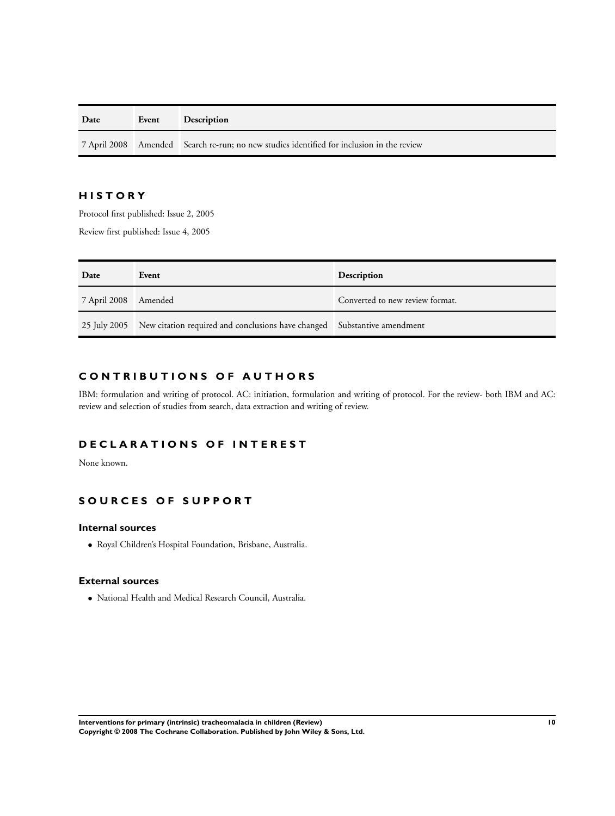| Date | Event | <b>Description</b>                                                                        |  |
|------|-------|-------------------------------------------------------------------------------------------|--|
|      |       | 7 April 2008 Amended Search re-run; no new studies identified for inclusion in the review |  |

## **H I S T O R Y**

Protocol first published: Issue 2, 2005

Review first published: Issue 4, 2005

| Date                 | Event                                                                                 | Description                     |
|----------------------|---------------------------------------------------------------------------------------|---------------------------------|
| 7 April 2008 Amended |                                                                                       | Converted to new review format. |
|                      | 25 July 2005 New citation required and conclusions have changed Substantive amendment |                                 |

## **C O N T R I B U T I O N S O F A U T H O R S**

IBM: formulation and writing of protocol. AC: initiation, formulation and writing of protocol. For the review- both IBM and AC: review and selection of studies from search, data extraction and writing of review.

## **D E C L A R A T I O N S O F I N T E R E S T**

None known.

## **S O U R C E S O F S U P P O R T**

## **Internal sources**

• Royal Children's Hospital Foundation, Brisbane, Australia.

## **External sources**

• National Health and Medical Research Council, Australia.